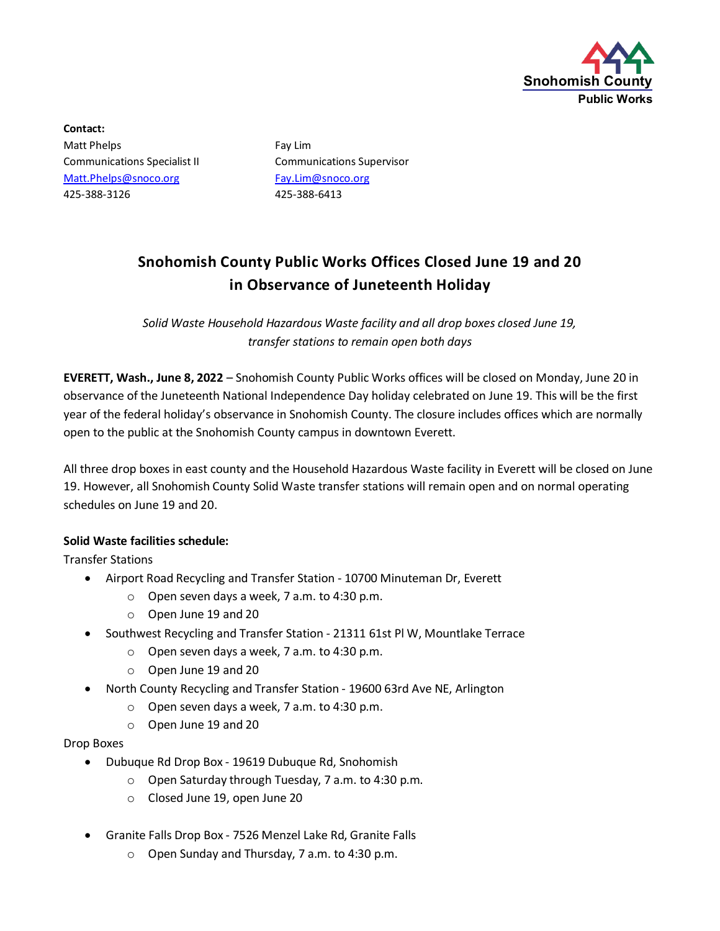

**Contact:** Matt Phelps **Fay Lim** Communications Specialist II Communications Supervisor [Matt.Phelps@snoco.org](mailto:Matt.Phelps@snoco.org) [Fay.Lim@snoco.org](mailto:Fay.Lim@snoco.org) 425-388-3126 425-388-6413

## **Snohomish County Public Works Offices Closed June 19 and 20 in Observance of Juneteenth Holiday**

*Solid Waste Household Hazardous Waste facility and all drop boxes closed June 19, transfer stations to remain open both days*

**EVERETT, Wash., June 8, 2022** – Snohomish County Public Works offices will be closed on Monday, June 20 in observance of the Juneteenth National Independence Day holiday celebrated on June 19. This will be the first year of the federal holiday's observance in Snohomish County. The closure includes offices which are normally open to the public at the Snohomish County campus in downtown Everett.

All three drop boxes in east county and the Household Hazardous Waste facility in Everett will be closed on June 19. However, all Snohomish County Solid Waste transfer stations will remain open and on normal operating schedules on June 19 and 20.

## **Solid Waste facilities schedule:**

Transfer Stations

- Airport Road Recycling and Transfer Station 10700 Minuteman Dr, Everett
	- o Open seven days a week, 7 a.m. to 4:30 p.m.
	- o Open June 19 and 20
- Southwest Recycling and Transfer Station 21311 61st Pl W, Mountlake Terrace
	- o Open seven days a week, 7 a.m. to 4:30 p.m.
	- o Open June 19 and 20
- North County Recycling and Transfer Station 19600 63rd Ave NE, Arlington
	- o Open seven days a week, 7 a.m. to 4:30 p.m.
	- o Open June 19 and 20

## Drop Boxes

- Dubuque Rd Drop Box 19619 Dubuque Rd, Snohomish
	- o Open Saturday through Tuesday, 7 a.m. to 4:30 p.m.
	- o Closed June 19, open June 20
- Granite Falls Drop Box 7526 Menzel Lake Rd, Granite Falls
	- o Open Sunday and Thursday, 7 a.m. to 4:30 p.m.